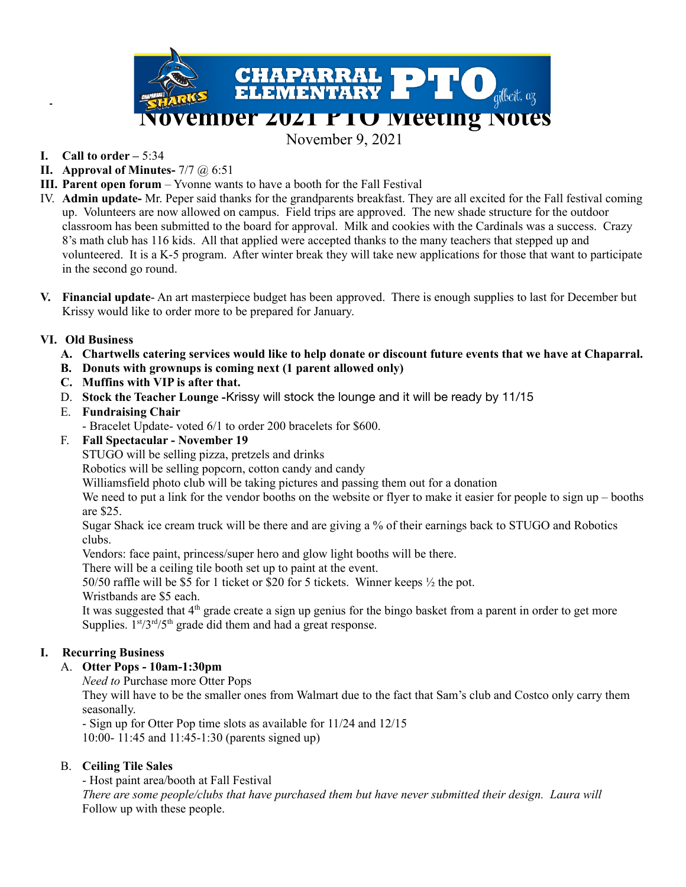

November 9, 2021

- **I. Call to order –** 5:34
- **II. Approval of Minutes-** 7/7 @ 6:51
- **III. Parent open forum** Yvonne wants to have a booth for the Fall Festival
- IV. **Admin update-** Mr. Peper said thanks for the grandparents breakfast. They are all excited for the Fall festival coming up. Volunteers are now allowed on campus. Field trips are approved. The new shade structure for the outdoor classroom has been submitted to the board for approval. Milk and cookies with the Cardinals was a success. Crazy 8's math club has 116 kids. All that applied were accepted thanks to the many teachers that stepped up and volunteered. It is a K-5 program. After winter break they will take new applications for those that want to participate in the second go round.
- **V. Financial update** An art masterpiece budget has been approved. There is enough supplies to last for December but Krissy would like to order more to be prepared for January.

#### **VI. Old Business**

- A. Chartwells catering services would like to help donate or discount future events that we have at Chaparral.
- **B. Donuts with grownups is coming next (1 parent allowed only)**
- **C. Muffins with VIP is after that.**
- D. **Stock the Teacher Lounge -**Krissy will stock the lounge and it will be ready by 11/15

#### E. **Fundraising Chair**

- Bracelet Update- voted 6/1 to order 200 bracelets for \$600.

F. **Fall Spectacular - November 19**

STUGO will be selling pizza, pretzels and drinks

Robotics will be selling popcorn, cotton candy and candy

Williamsfield photo club will be taking pictures and passing them out for a donation

We need to put a link for the vendor booths on the website or flyer to make it easier for people to sign up – booths are \$25.

Sugar Shack ice cream truck will be there and are giving a % of their earnings back to STUGO and Robotics clubs.

Vendors: face paint, princess/super hero and glow light booths will be there.

There will be a ceiling tile booth set up to paint at the event.

50/50 raffle will be \$5 for 1 ticket or \$20 for 5 tickets. Winner keeps ½ the pot.

Wristbands are \$5 each.

It was suggested that  $4<sup>th</sup>$  grade create a sign up genius for the bingo basket from a parent in order to get more Supplies.  $1<sup>st</sup>/3<sup>rd</sup>/5<sup>th</sup>$  grade did them and had a great response.

## **I. Recurring Business**

## A. **Otter Pops - 10am-1:30pm**

*Need to* Purchase more Otter Pops

They will have to be the smaller ones from Walmart due to the fact that Sam's club and Costco only carry them seasonally.

- Sign up for Otter Pop time slots as available for 11/24 and 12/15 10:00- 11:45 and 11:45-1:30 (parents signed up)

#### B. **Ceiling Tile Sales**

- Host paint area/booth at Fall Festival

*There are some people/clubs that have purchased them but have never submitted their design. Laura will* Follow up with these people.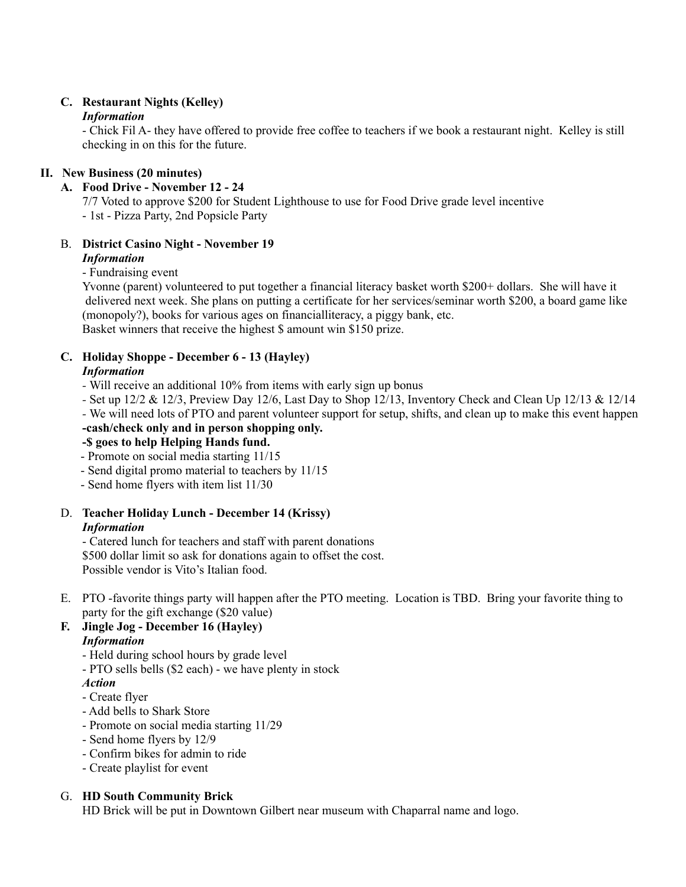#### **C. Restaurant Nights (Kelley)** *Information*

- Chick Fil A- they have offered to provide free coffee to teachers if we book a restaurant night. Kelley is still checking in on this for the future.

#### **II. New Business (20 minutes)**

#### **A. Food Drive - November 12 - 24**

7/7 Voted to approve \$200 for Student Lighthouse to use for Food Drive grade level incentive - 1st - Pizza Party, 2nd Popsicle Party

# B. **District Casino Night - November 19**

# *Information*

- Fundraising event

Yvonne (parent) volunteered to put together a financial literacy basket worth \$200+ dollars. She will have it delivered next week. She plans on putting a certificate for her services/seminar worth \$200, a board game like (monopoly?), books for various ages on financialliteracy, a piggy bank, etc. Basket winners that receive the highest \$ amount win \$150 prize.

#### **C. Holiday Shoppe - December 6 - 13 (Hayley)**

#### *Information*

- *-* Will receive an additional 10% from items with early sign up bonus
- *-* Set up 12/2 & 12/3, Preview Day 12/6, Last Day to Shop 12/13, Inventory Check and Clean Up 12/13 & 12/14
- *-* We will need lots of PTO and parent volunteer support for setup, shifts, and clean up to make this event happen **-cash/check only and in person shopping only.**

## **-\$ goes to help Helping Hands fund.**

- Promote on social media starting 11/15
- Send digital promo material to teachers by 11/15
- Send home flyers with item list 11/30

# D. **Teacher Holiday Lunch - December 14 (Krissy)**

#### *Information*

- Catered lunch for teachers and staff with parent donations \$500 dollar limit so ask for donations again to offset the cost. Possible vendor is Vito's Italian food.

E. PTO -favorite things party will happen after the PTO meeting. Location is TBD. Bring your favorite thing to party for the gift exchange (\$20 value)

#### **F. Jingle Jog - December 16 (Hayley)** *Information*

- Held during school hours by grade level
- PTO sells bells (\$2 each) we have plenty in stock

#### *Action*

- Create flyer
- Add bells to Shark Store
- Promote on social media starting 11/29
- Send home flyers by 12/9
- Confirm bikes for admin to ride
- Create playlist for event

## G. **HD South Community Brick**

HD Brick will be put in Downtown Gilbert near museum with Chaparral name and logo.